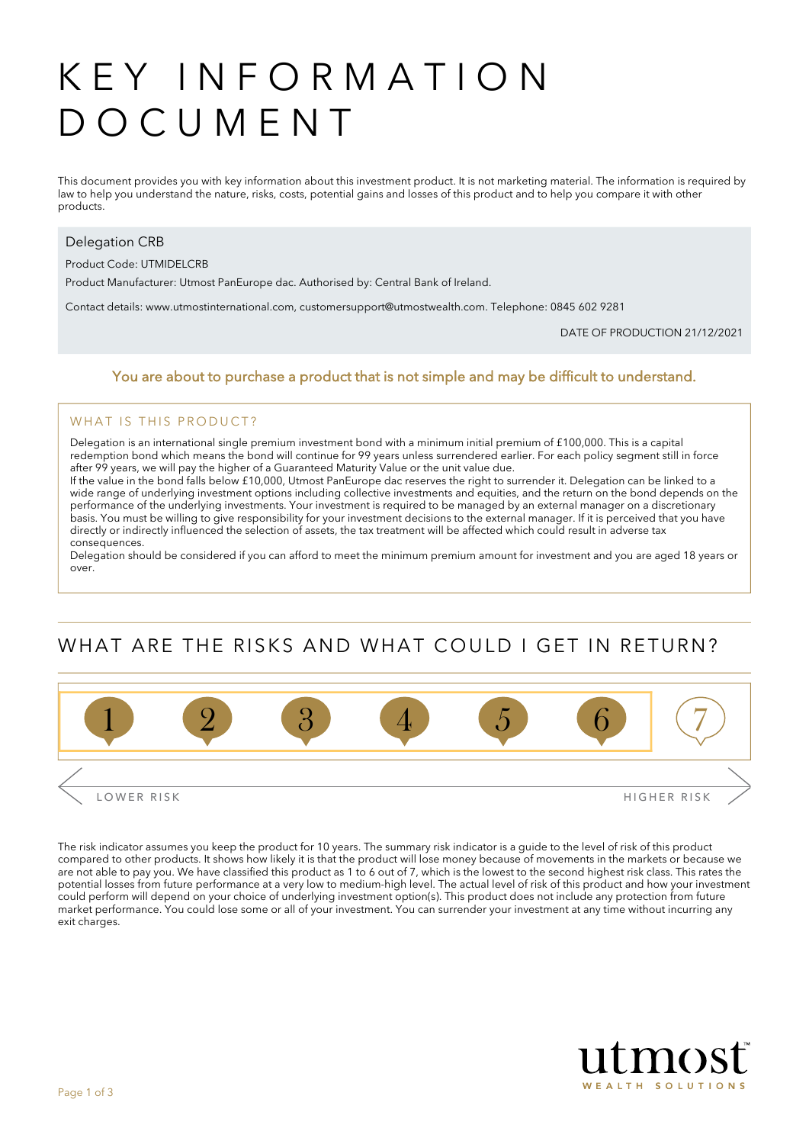# KEY INFORMATION DOCUMENT

This document provides you with key information about this investment product. It is not marketing material. The information is required by law to help you understand the nature, risks, costs, potential gains and losses of this product and to help you compare it with other products.

#### Delegation CRB

Product Code: UTMIDELCRB

Product Manufacturer: Utmost PanEurope dac. Authorised by: Central Bank of Ireland.

Contact details: www.utmostinternational.com, customersupport@utmostwealth.com. Telephone: 0845 602 9281

DATE OF PRODUCTION 21/12/2021

#### You are about to purchase a product that is not simple and may be difficult to understand.

#### WHAT IS THIS PRODUCT?

Delegation is an international single premium investment bond with a minimum initial premium of £100,000. This is a capital redemption bond which means the bond will continue for 99 years unless surrendered earlier. For each policy segment still in force after 99 years, we will pay the higher of a Guaranteed Maturity Value or the unit value due.

If the value in the bond falls below £10,000, Utmost PanEurope dac reserves the right to surrender it. Delegation can be linked to a wide range of underlying investment options including collective investments and equities, and the return on the bond depends on the performance of the underlying investments. Your investment is required to be managed by an external manager on a discretionary basis. You must be willing to give responsibility for your investment decisions to the external manager. If it is perceived that you have directly or indirectly influenced the selection of assets, the tax treatment will be affected which could result in adverse tax consequences.

Delegation should be considered if you can afford to meet the minimum premium amount for investment and you are aged 18 years or over.

# WHAT ARE THE RISKS AND WHAT COULD I GET IN RETURN?



The risk indicator assumes you keep the product for 10 years. The summary risk indicator is a guide to the level of risk of this product compared to other products. It shows how likely it is that the product will lose money because of movements in the markets or because we are not able to pay you. We have classified this product as 1 to 6 out of 7, which is the lowest to the second highest risk class. This rates the potential losses from future performance at a very low to medium-high level. The actual level of risk of this product and how your investment could perform will depend on your choice of underlying investment option(s). This product does not include any protection from future market performance. You could lose some or all of your investment. You can surrender your investment at any time without incurring any exit charges.

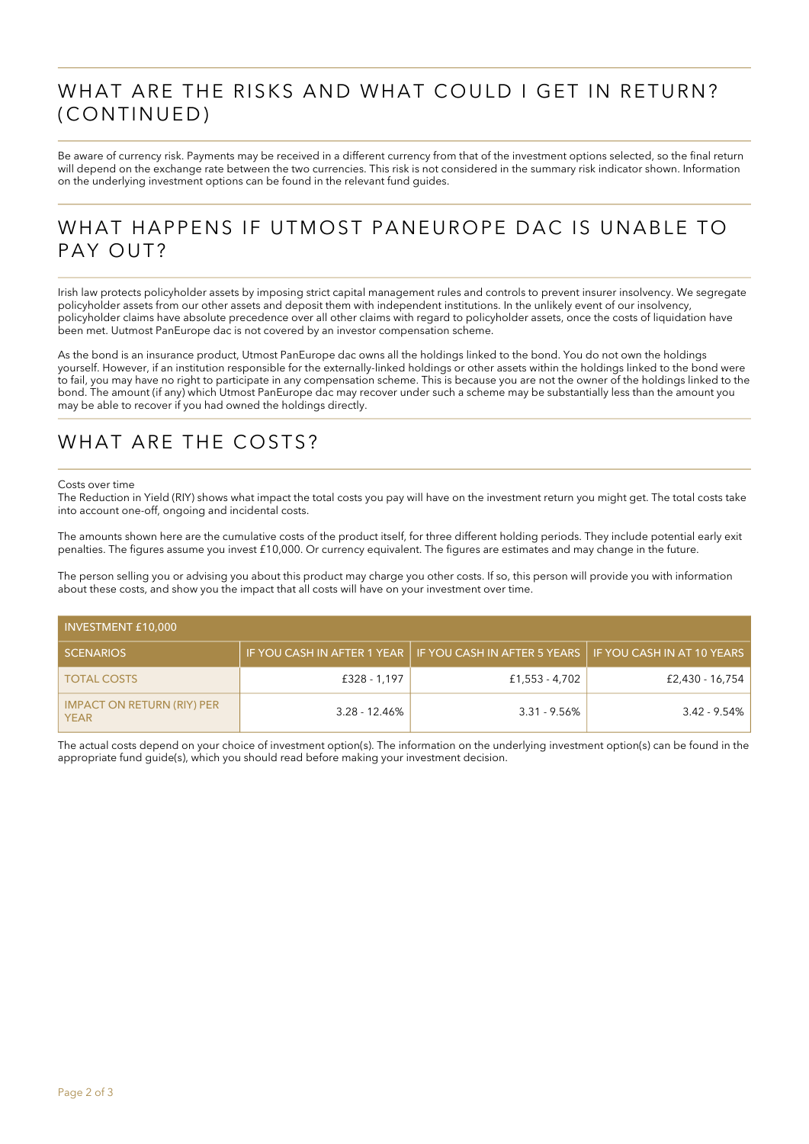### WHAT ARE THE RISKS AND WHAT COULD I GET IN RETURN? (CONTINUED)

Be aware of currency risk. Payments may be received in a different currency from that of the investment options selected, so the final return will depend on the exchange rate between the two currencies. This risk is not considered in the summary risk indicator shown. Information on the underlying investment options can be found in the relevant fund guides.

#### WHAT HAPPENS IF UTMOST PANEUROPE DAC IS UNABLE TO PAY OUT?

Irish law protects policyholder assets by imposing strict capital management rules and controls to prevent insurer insolvency. We segregate policyholder assets from our other assets and deposit them with independent institutions. In the unlikely event of our insolvency, policyholder claims have absolute precedence over all other claims with regard to policyholder assets, once the costs of liquidation have been met. Uutmost PanEurope dac is not covered by an investor compensation scheme.

As the bond is an insurance product, Utmost PanEurope dac owns all the holdings linked to the bond. You do not own the holdings yourself. However, if an institution responsible for the externally-linked holdings or other assets within the holdings linked to the bond were to fail, you may have no right to participate in any compensation scheme. This is because you are not the owner of the holdings linked to the bond. The amount (if any) which Utmost PanEurope dac may recover under such a scheme may be substantially less than the amount you may be able to recover if you had owned the holdings directly.

### WHAT ARE THE COSTS?

#### Costs over time

The Reduction in Yield (RIY) shows what impact the total costs you pay will have on the investment return you might get. The total costs take into account one-off, ongoing and incidental costs.

The amounts shown here are the cumulative costs of the product itself, for three different holding periods. They include potential early exit penalties. The figures assume you invest £10,000. Or currency equivalent. The figures are estimates and may change in the future.

The person selling you or advising you about this product may charge you other costs. If so, this person will provide you with information about these costs, and show you the impact that all costs will have on your investment over time.

| <b>INVESTMENT £10,000</b>                        |                  |                                                            |                            |  |  |
|--------------------------------------------------|------------------|------------------------------------------------------------|----------------------------|--|--|
| <b>SCENARIOS</b>                                 |                  | IF YOU CASH IN AFTER 1 YEAR   IF YOU CASH IN AFTER 5 YEARS | IF YOU CASH IN AT 10 YEARS |  |  |
| <b>TOTAL COSTS</b>                               | £328 - 1,197     | £1,553 - 4,702                                             | £2,430 - 16,754            |  |  |
| <b>IMPACT ON RETURN (RIY) PER</b><br><b>YEAR</b> | $3.28 - 12.46\%$ | $3.31 - 9.56\%$                                            | $3.42 - 9.54\%$            |  |  |

The actual costs depend on your choice of investment option(s). The information on the underlying investment option(s) can be found in the appropriate fund guide(s), which you should read before making your investment decision.